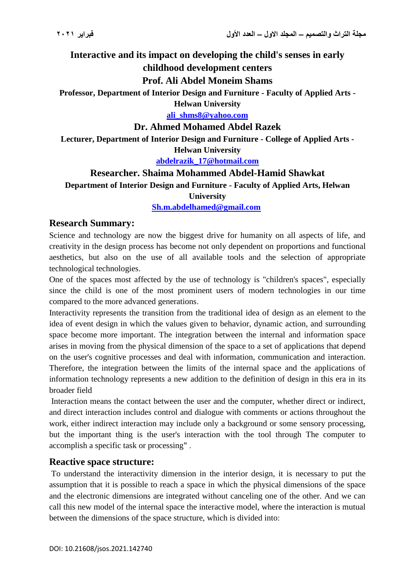**Interactive and its impact on developing the child's senses in early** 

### **childhood development centers**

## **Prof. Ali Abdel Moneim Shams**

**Professor, Department of Interior Design and Furniture - Faculty of Applied Arts -**

**Helwan University**

**[ali\\_shms8@yahoo.com](mailto:ali_shms8@yahoo.com)**

## **Dr. Ahmed Mohamed Abdel Razek**

**Lecturer, Department of Interior Design and Furniture - College of Applied Arts - Helwan University**

**[abdelrazik\\_17@hotmail.com](mailto:abdelrazik_17@hotmail.com)**

# **Researcher. Shaima Mohammed Abdel-Hamid Shawkat**

**Department of Interior Design and Furniture - Faculty of Applied Arts, Helwan** 

**University**

### **[Sh.m.abdelhamed@gmail.com](mailto:Sh.m.abdelhamed@gmail.com)**

## **Research Summary:**

Science and technology are now the biggest drive for humanity on all aspects of life, and creativity in the design process has become not only dependent on proportions and functional aesthetics, but also on the use of all available tools and the selection of appropriate technological technologies.

One of the spaces most affected by the use of technology is "children's spaces", especially since the child is one of the most prominent users of modern technologies in our time compared to the more advanced generations.

Interactivity represents the transition from the traditional idea of design as an element to the idea of event design in which the values given to behavior, dynamic action, and surrounding space become more important. The integration between the internal and information space arises in moving from the physical dimension of the space to a set of applications that depend on the user's cognitive processes and deal with information, communication and interaction. Therefore, the integration between the limits of the internal space and the applications of information technology represents a new addition to the definition of design in this era in its broader field

Interaction means the contact between the user and the computer, whether direct or indirect, and direct interaction includes control and dialogue with comments or actions throughout the work, either indirect interaction may include only a background or some sensory processing. but the important thing is the user's interaction with the tool through The computer to accomplish a specific task or processing" .

# **Reactive space structure:**

To understand the interactivity dimension in the interior design, it is necessary to put the assumption that it is possible to reach a space in which the physical dimensions of the space and the electronic dimensions are integrated without canceling one of the other. And we can call this new model of the internal space the interactive model, where the interaction is mutual between the dimensions of the space structure, which is divided into: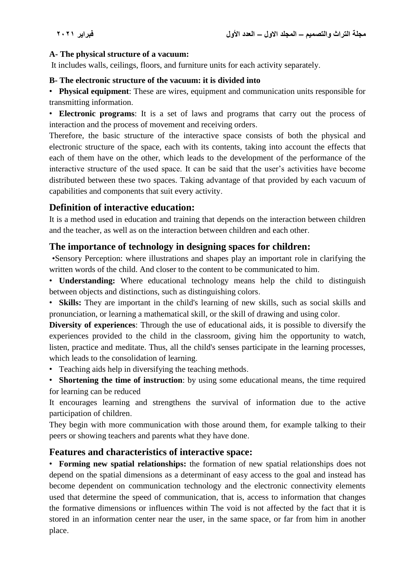### **A- The physical structure of a vacuum:**

It includes walls, ceilings, floors, and furniture units for each activity separately.

### **B- The electronic structure of the vacuum: it is divided into**

• **Physical equipment**: These are wires, equipment and communication units responsible for transmitting information.

• **Electronic programs**: It is a set of laws and programs that carry out the process of interaction and the process of movement and receiving orders.

Therefore, the basic structure of the interactive space consists of both the physical and electronic structure of the space, each with its contents, taking into account the effects that each of them have on the other, which leads to the development of the performance of the interactive structure of the used space. It can be said that the user's activities have become distributed between these two spaces. Taking advantage of that provided by each vacuum of capabilities and components that suit every activity.

## **Definition of interactive education:**

It is a method used in education and training that depends on the interaction between children and the teacher, as well as on the interaction between children and each other.

## **The importance of technology in designing spaces for children:**

 •Sensory Perception: where illustrations and shapes play an important role in clarifying the written words of the child. And closer to the content to be communicated to him.

• **Understanding:** Where educational technology means help the child to distinguish between objects and distinctions, such as distinguishing colors.

• **Skills:** They are important in the child's learning of new skills, such as social skills and pronunciation, or learning a mathematical skill, or the skill of drawing and using color.

**Diversity of experiences**: Through the use of educational aids, it is possible to diversify the experiences provided to the child in the classroom, giving him the opportunity to watch, listen, practice and meditate. Thus, all the child's senses participate in the learning processes, which leads to the consolidation of learning.

• Teaching aids help in diversifying the teaching methods.

• **Shortening the time of instruction**: by using some educational means, the time required for learning can be reduced

It encourages learning and strengthens the survival of information due to the active participation of children.

They begin with more communication with those around them, for example talking to their peers or showing teachers and parents what they have done.

# **Features and characteristics of interactive space:**

• **Forming new spatial relationships:** the formation of new spatial relationships does not depend on the spatial dimensions as a determinant of easy access to the goal and instead has become dependent on communication technology and the electronic connectivity elements used that determine the speed of communication, that is, access to information that changes the formative dimensions or influences within The void is not affected by the fact that it is stored in an information center near the user, in the same space, or far from him in another place.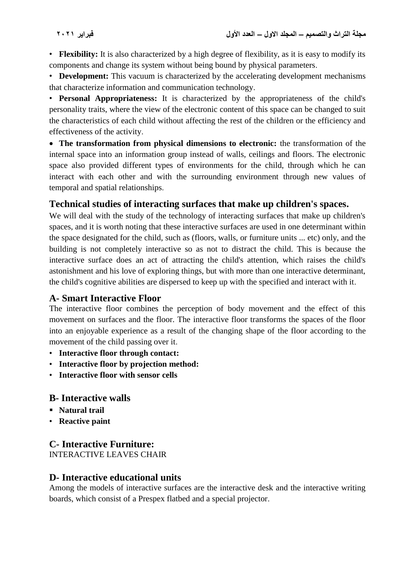• **Flexibility:** It is also characterized by a high degree of flexibility, as it is easy to modify its components and change its system without being bound by physical parameters.

• **Development:** This vacuum is characterized by the accelerating development mechanisms that characterize information and communication technology.

• **Personal Appropriateness:** It is characterized by the appropriateness of the child's personality traits, where the view of the electronic content of this space can be changed to suit the characteristics of each child without affecting the rest of the children or the efficiency and effectiveness of the activity.

 **The transformation from physical dimensions to electronic:** the transformation of the internal space into an information group instead of walls, ceilings and floors. The electronic space also provided different types of environments for the child, through which he can interact with each other and with the surrounding environment through new values of temporal and spatial relationships.

# **Technical studies of interacting surfaces that make up children's spaces.**

We will deal with the study of the technology of interacting surfaces that make up children's spaces, and it is worth noting that these interactive surfaces are used in one determinant within the space designated for the child, such as (floors, walls, or furniture units ... etc) only, and the building is not completely interactive so as not to distract the child. This is because the interactive surface does an act of attracting the child's attention, which raises the child's astonishment and his love of exploring things, but with more than one interactive determinant, the child's cognitive abilities are dispersed to keep up with the specified and interact with it.

# **A- Smart Interactive Floor**

The interactive floor combines the perception of body movement and the effect of this movement on surfaces and the floor. The interactive floor transforms the spaces of the floor into an enjoyable experience as a result of the changing shape of the floor according to the movement of the child passing over it.

- **Interactive floor through contact:**
- **Interactive floor by projection method:**
- **Interactive floor with sensor cells**

# **B- Interactive walls**

- **Natural trail**
- **Reactive paint**

# **C- Interactive Furniture:**

INTERACTIVE LEAVES CHAIR

# **D- Interactive educational units**

Among the models of interactive surfaces are the interactive desk and the interactive writing boards, which consist of a Prespex flatbed and a special projector.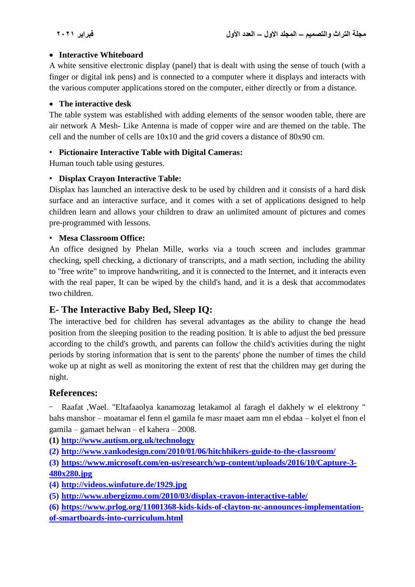### **Interactive Whiteboard**

A white sensitive electronic display (panel) that is dealt with using the sense of touch (with a finger or digital ink pens) and is connected to a computer where it displays and interacts with the various computer applications stored on the computer, either directly or from a distance.

### **The interactive desk**

The table system was established with adding elements of the sensor wooden table, there are air network A Mesh- Like Antenna is made of copper wire and are themed on the table. The cell and the number of cells are 10x10 and the grid covers a distance of 80x90 cm.

## • **Pictionaire Interactive Table with Digital Cameras:**

Human touch table using gestures.

### • **Displax Crayon Interactive Table:**

Displax has launched an interactive desk to be used by children and it consists of a hard disk surface and an interactive surface, and it comes with a set of applications designed to help children learn and allows your children to draw an unlimited amount of pictures and comes pre-programmed with lessons.

#### • **Mesa Classroom Office:**

An office designed by Phelan Mille, works via a touch screen and includes grammar checking, spell checking, a dictionary of transcripts, and a math section, including the ability to "free write" to improve handwriting, and it is connected to the Internet, and it interacts even with the real paper, It can be wiped by the child's hand, and it is a desk that accommodates two children.

# **E- The Interactive Baby Bed, Sleep IQ:**

The interactive bed for children has several advantages as the ability to change the head position from the sleeping position to the reading position. It is able to adjust the bed pressure according to the child's growth, and parents can follow the child's activities during the night periods by storing information that is sent to the parents' phone the number of times the child woke up at night as well as monitoring the extent of rest that the children may get during the night.

## **References:**

Raafat ,Wael. "Eltafaaolya kanamozag letakamol al faragh el dakhely w el elektrony " bahs manshor – moatamar el fenn el gamila fe masr maaet aam mn el ebdaa – kolyet el fnon el gamila – gamaet helwan – el kahera – 2008.

**(1) <http://www.autism.org.uk/technology>**

**(2) http://www.yankodesign.com/2010/01/06/hitchhikers-guide-to-the-classroom/**

**(3) https://www.microsoft.com/en-us/research/wp-content/uploads/2016/10/Capture-3- 480x280.jpg**

**(4) http://videos.winfuture.de/1929.jpg**

**(5) http://www.ubergizmo.com/2010/03/displax-crayon-interactive-table/**

**(6) https://www.prlog.org/11001368-kids-kids-of-clayton-nc-announces-implementationof-smartboards-into-curriculum.html**